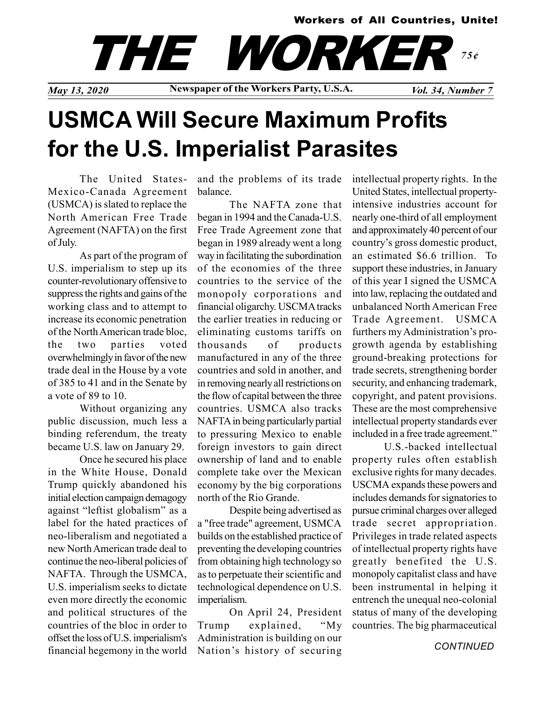#### Workers of All Countries, Unite!

THE WORKE 75¢

May 13, 2020 Newspaper of the Workers Party, U.S.A. Vol. 34, Number 7

# USMCA Will Secure Maximum Profits for the U.S. Imperialist Parasites

The United States-Mexico-Canada Agreement (USMCA) is slated to replace the North American Free Trade Agreement (NAFTA) on the first of July.

As part of the program of U.S. imperialism to step up its counter-revolutionary offensive to suppress the rights and gains of the working class and to attempt to increase its economic penetration of the North American trade bloc, the two parties voted overwhelmingly in favor of the new trade deal in the House by a vote of 385 to 41 and in the Senate by a vote of 89 to 10.

Without organizing any public discussion, much less a binding referendum, the treaty became U.S. law on January 29.

Once he secured his place in the White House, Donald Trump quickly abandoned his initial election campaign demagogy against "leftist globalism" as a label for the hated practices of neo-liberalism and negotiated a new North American trade deal to continue the neo-liberal policies of NAFTA. Through the USMCA, U.S. imperialism seeks to dictate even more directly the economic and political structures of the countries of the bloc in order to offset the loss of U.S. imperialism's financial hegemony in the world

and the problems of its trade balance.

The NAFTA zone that began in 1994 and the Canada-U.S. Free Trade Agreement zone that began in 1989 already went a long way in facilitating the subordination of the economies of the three countries to the service of the monopoly corporations and financial oligarchy. USCMA tracks the earlier treaties in reducing or eliminating customs tariffs on thousands of products manufactured in any of the three countries and sold in another, and in removing nearly all restrictions on the flow of capital between the three countries. USMCA also tracks NAFTA in being particularly partial to pressuring Mexico to enable foreign investors to gain direct ownership of land and to enable complete take over the Mexican economy by the big corporations north of the Rio Grande.

Despite being advertised as a "free trade" agreement, USMCA builds on the established practice of preventing the developing countries from obtaining high technology so as to perpetuate their scientific and technological dependence on U.S. imperialism.

On April 24, President Trump explained, "My Administration is building on our Nation's history of securing

intellectual property rights. In the United States, intellectual propertyintensive industries account for nearly one-third of all employment and approximately 40 percent of our country's gross domestic product, an estimated \$6.6 trillion. To support these industries, in January of this year I signed the USMCA into law, replacing the outdated and unbalanced North American Free Trade Agreement. USMCA furthers my Administration's progrowth agenda by establishing ground-breaking protections for trade secrets, strengthening border security, and enhancing trademark, copyright, and patent provisions. These are the most comprehensive intellectual property standards ever included in a free trade agreement."

U.S.-backed intellectual property rules often establish exclusive rights for many decades. USCMA expands these powers and includes demands for signatories to pursue criminal charges over alleged trade secret appropriation. Privileges in trade related aspects of intellectual property rights have greatly benefited the U.S. monopoly capitalist class and have been instrumental in helping it entrench the unequal neo-colonial status of many of the developing countries. The big pharmaceutical

**CONTINUED**